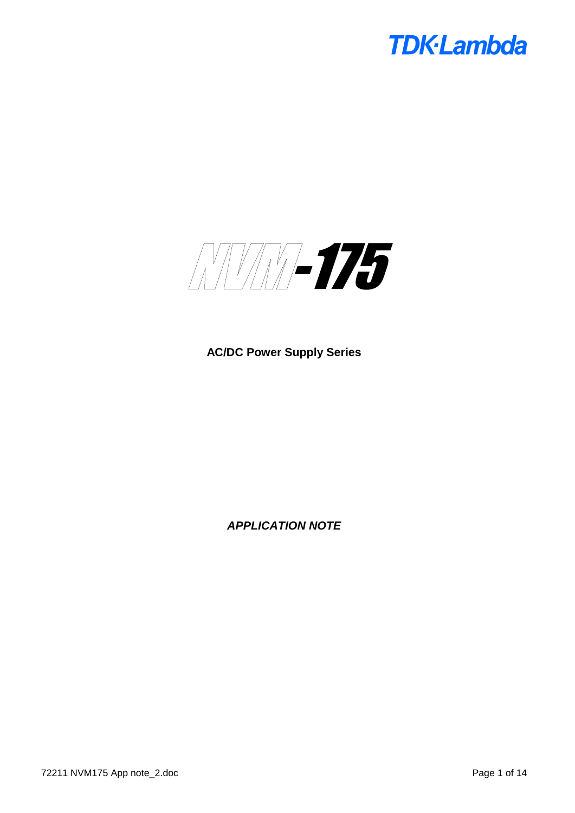

**AC/DC Power Supply Series**

*APPLICATION NOTE*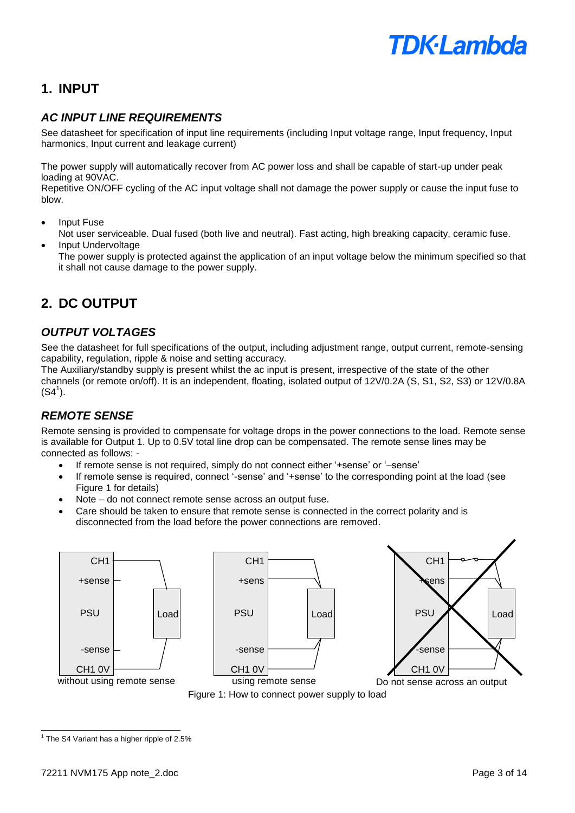# **1. INPUT**

# *AC INPUT LINE REQUIREMENTS*

See datasheet for specification of input line requirements (including Input voltage range, Input frequency, Input harmonics, Input current and leakage current)

The power supply will automatically recover from AC power loss and shall be capable of start-up under peak loading at 90VAC.

Repetitive ON/OFF cycling of the AC input voltage shall not damage the power supply or cause the input fuse to blow.

- Input Fuse
- Not user serviceable. Dual fused (both live and neutral). Fast acting, high breaking capacity, ceramic fuse.
- Input Undervoltage

The power supply is protected against the application of an input voltage below the minimum specified so that it shall not cause damage to the power supply.

# **2. DC OUTPUT**

## *OUTPUT VOLTAGES*

See the datasheet for full specifications of the output, including adjustment range, output current, remote-sensing capability, regulation, ripple & noise and setting accuracy.

The Auxiliary/standby supply is present whilst the ac input is present, irrespective of the state of the other channels (or remote on/off). It is an independent, floating, isolated output of 12V/0.2A (S, S1, S2, S3) or 12V/0.8A  $(S4^1)$ .

# *REMOTE SENSE*

Remote sensing is provided to compensate for voltage drops in the power connections to the load. Remote sense is available for Output 1. Up to 0.5V total line drop can be compensated. The remote sense lines may be connected as follows: -

- If remote sense is not required, simply do not connect either '+sense' or '–sense'
- If remote sense is required, connect '-sense' and '+sense' to the corresponding point at the load (see Figure 1 for details)
- Note do not connect remote sense across an output fuse.
- Care should be taken to ensure that remote sense is connected in the correct polarity and is disconnected from the load before the power connections are removed.



Figure 1: How to connect power supply to load

l

 $1$  The S4 Variant has a higher ripple of 2.5%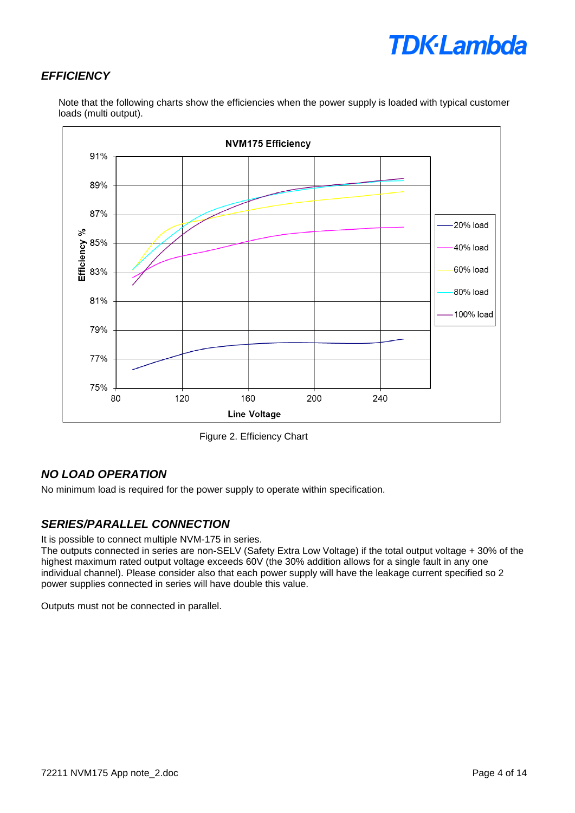# *EFFICIENCY*



Note that the following charts show the efficiencies when the power supply is loaded with typical customer loads (multi output).

Figure 2. Efficiency Chart

## *NO LOAD OPERATION*

No minimum load is required for the power supply to operate within specification.

# *SERIES/PARALLEL CONNECTION*

It is possible to connect multiple NVM-175 in series.

The outputs connected in series are non-SELV (Safety Extra Low Voltage) if the total output voltage + 30% of the highest maximum rated output voltage exceeds 60V (the 30% addition allows for a single fault in any one individual channel). Please consider also that each power supply will have the leakage current specified so 2 power supplies connected in series will have double this value.

Outputs must not be connected in parallel.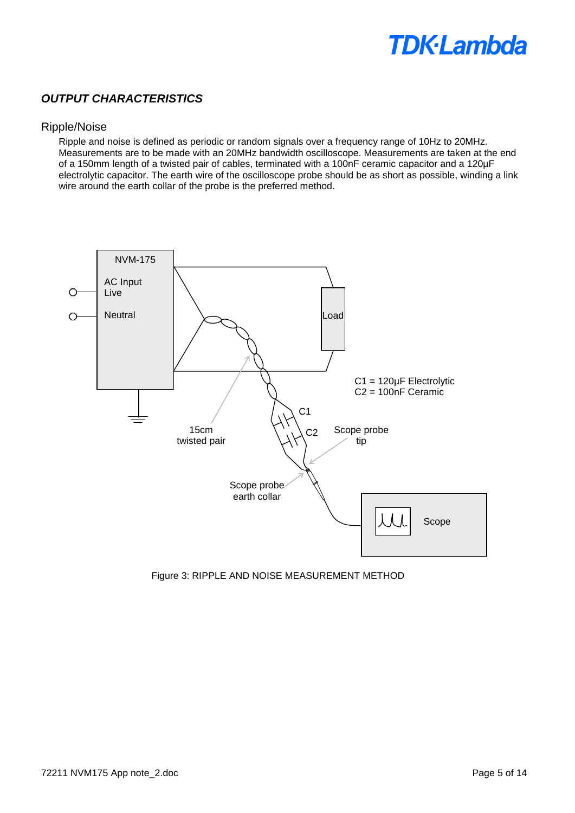## *OUTPUT CHARACTERISTICS*

#### Ripple/Noise

Ripple and noise is defined as periodic or random signals over a frequency range of 10Hz to 20MHz. Measurements are to be made with an 20MHz bandwidth oscilloscope. Measurements are taken at the end of a 150mm length of a twisted pair of cables, terminated with a 100nF ceramic capacitor and a 120µF electrolytic capacitor. The earth wire of the oscilloscope probe should be as short as possible, winding a link wire around the earth collar of the probe is the preferred method.



Figure 3: RIPPLE AND NOISE MEASUREMENT METHOD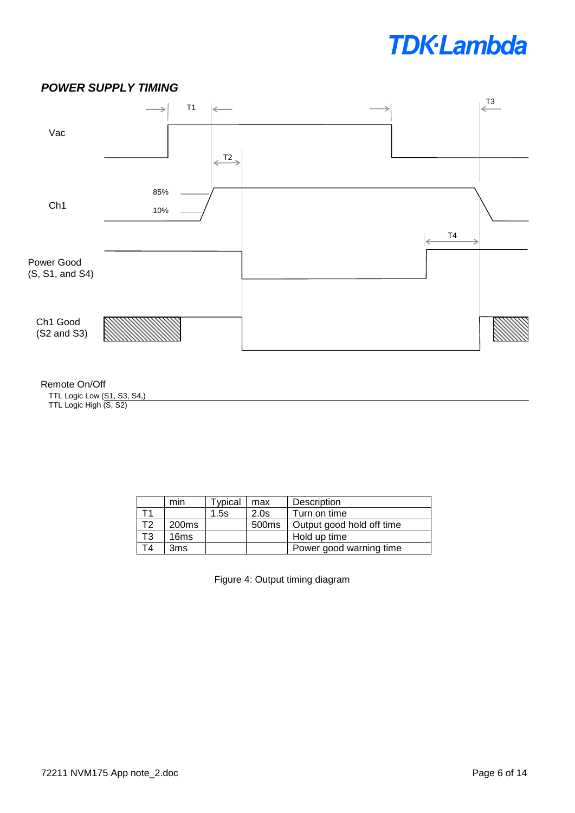# T3 T1  $\Leftarrow$ ⇒ Vac  $\xrightarrow{\text{T2}}$ 85% Ch1 10% T4 ∠ Power Good (S, S1, and S4) Ch1 Good (S2 and S3)

#### Remote On/Off

TTL Logic Low (S1, S3, S4,) TTL Logic High (S, S2)

*POWER SUPPLY TIMING*

|                | min               | Typical | max   | Description               |
|----------------|-------------------|---------|-------|---------------------------|
|                |                   | 1.5s    | 2.0s  | Turn on time              |
| T <sub>2</sub> | 200 <sub>ms</sub> |         | 500ms | Output good hold off time |
| T3             | 16 <sub>ms</sub>  |         |       | Hold up time              |
| TΔ             | 3ms               |         |       | Power good warning time   |

Figure 4: Output timing diagram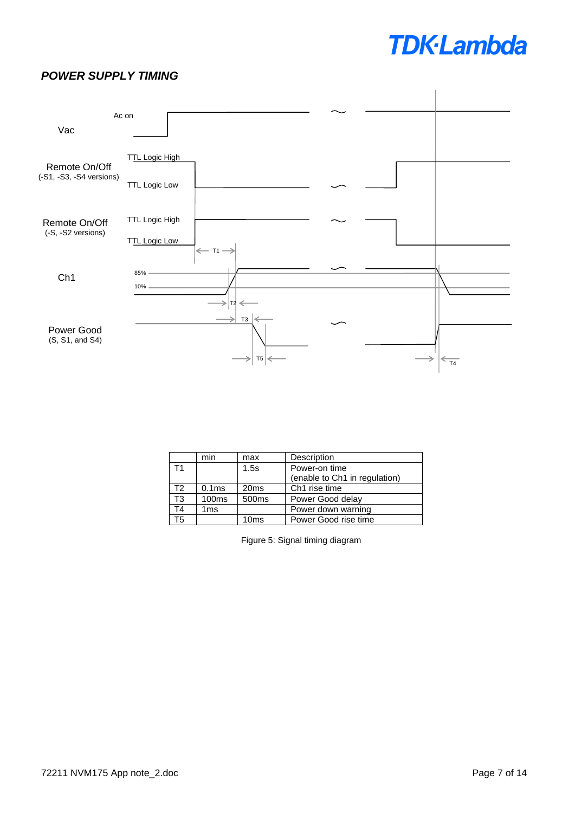## *POWER SUPPLY TIMING*



|                        | min               | max                   | Description                   |  |
|------------------------|-------------------|-----------------------|-------------------------------|--|
| T1                     |                   | 1.5s<br>Power-on time |                               |  |
|                        |                   |                       | (enable to Ch1 in regulation) |  |
| T2                     | 0.1ms             | 20 <sub>ms</sub>      | Ch <sub>1</sub> rise time     |  |
| $\overline{\text{T3}}$ | 100 <sub>ms</sub> | 500 <sub>ms</sub>     | Power Good delay              |  |
| Τ4                     | 1 <sub>ms</sub>   |                       | Power down warning            |  |
| T5                     |                   | 10 <sub>ms</sub>      | Power Good rise time          |  |

Figure 5: Signal timing diagram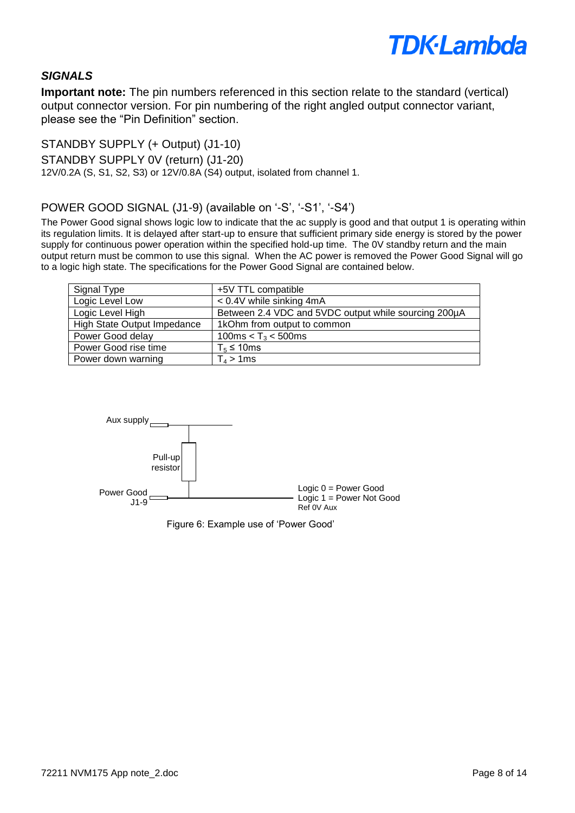

## *SIGNALS*

**Important note:** The pin numbers referenced in this section relate to the standard (vertical) output connector version. For pin numbering of the right angled output connector variant, please see the "Pin Definition" section.

STANDBY SUPPLY (+ Output) (J1-10)

STANDBY SUPPLY 0V (return) (J1-20)

12V/0.2A (S, S1, S2, S3) or 12V/0.8A (S4) output, isolated from channel 1.

POWER GOOD SIGNAL (J1-9) (available on '-S', '-S1', '-S4')

The Power Good signal shows logic low to indicate that the ac supply is good and that output 1 is operating within its regulation limits. It is delayed after start-up to ensure that sufficient primary side energy is stored by the power supply for continuous power operation within the specified hold-up time. The 0V standby return and the main output return must be common to use this signal. When the AC power is removed the Power Good Signal will go to a logic high state. The specifications for the Power Good Signal are contained below.

| Signal Type                 | +5V TTL compatible                                   |
|-----------------------------|------------------------------------------------------|
| Logic Level Low             | $< 0.4V$ while sinking 4mA                           |
| Logic Level High            | Between 2.4 VDC and 5VDC output while sourcing 200µA |
| High State Output Impedance | 1kOhm from output to common                          |
| Power Good delay            | 100ms < $T_3$ < 500ms                                |
| Power Good rise time        | $T_5 \leq 10$ ms                                     |
| Power down warning          | $T_4 > 1$ ms                                         |



Figure 6: Example use of 'Power Good'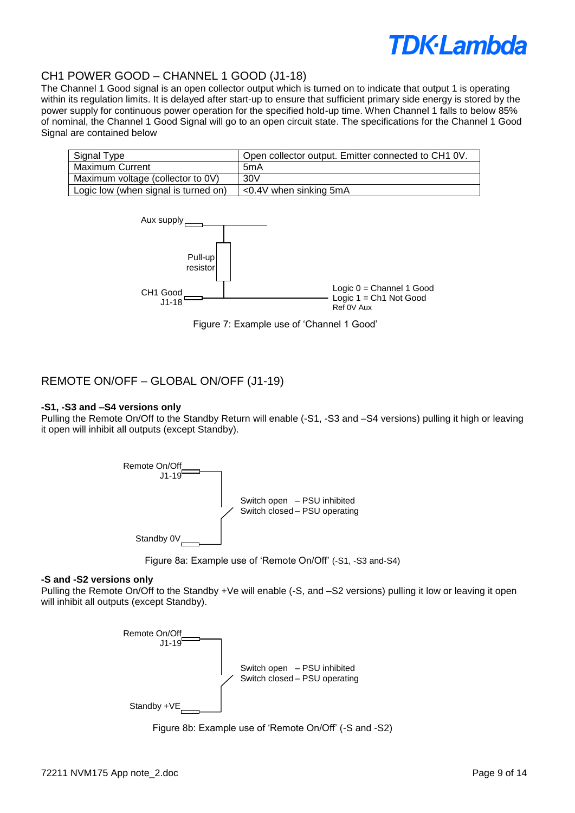

### CH1 POWER GOOD – CHANNEL 1 GOOD (J1-18)

The Channel 1 Good signal is an open collector output which is turned on to indicate that output 1 is operating within its regulation limits. It is delayed after start-up to ensure that sufficient primary side energy is stored by the power supply for continuous power operation for the specified hold-up time. When Channel 1 falls to below 85% of nominal, the Channel 1 Good Signal will go to an open circuit state. The specifications for the Channel 1 Good Signal are contained below

| Signal Type                          | Open collector output. Emitter connected to CH1 0V. |
|--------------------------------------|-----------------------------------------------------|
| Maximum Current                      | 5mA                                                 |
| Maximum voltage (collector to 0V)    | 30V                                                 |
| Logic low (when signal is turned on) | $<$ 0.4V when sinking 5mA                           |



Figure 7: Example use of 'Channel 1 Good'

### REMOTE ON/OFF – GLOBAL ON/OFF (J1-19)

#### **-S1, -S3 and –S4 versions only**

Pulling the Remote On/Off to the Standby Return will enable (-S1, -S3 and –S4 versions) pulling it high or leaving it open will inhibit all outputs (except Standby).





#### **-S and -S2 versions only**

Pulling the Remote On/Off to the Standby +Ve will enable (-S, and –S2 versions) pulling it low or leaving it open will inhibit all outputs (except Standby).



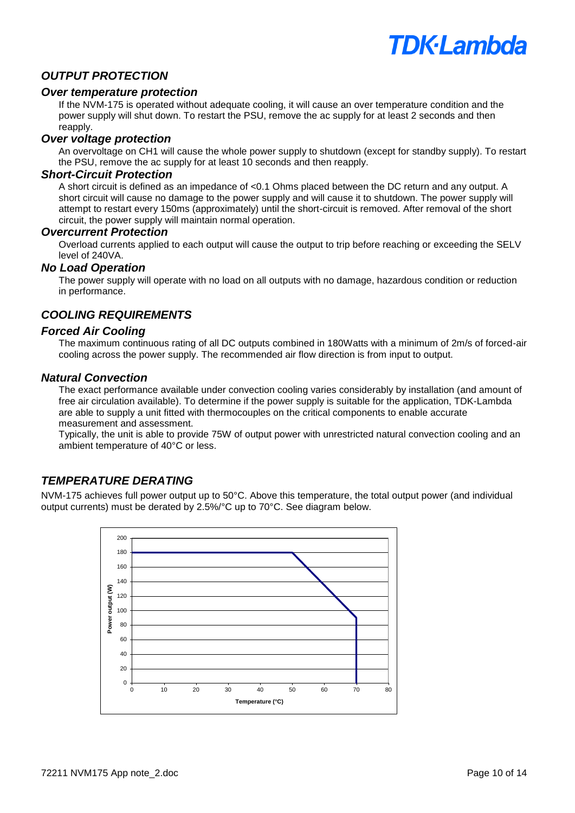

### *OUTPUT PROTECTION*

#### *Over temperature protection*

If the NVM-175 is operated without adequate cooling, it will cause an over temperature condition and the power supply will shut down. To restart the PSU, remove the ac supply for at least 2 seconds and then reapply.

#### *Over voltage protection*

An overvoltage on CH1 will cause the whole power supply to shutdown (except for standby supply). To restart the PSU, remove the ac supply for at least 10 seconds and then reapply.

### *Short-Circuit Protection*

A short circuit is defined as an impedance of <0.1 Ohms placed between the DC return and any output. A short circuit will cause no damage to the power supply and will cause it to shutdown. The power supply will attempt to restart every 150ms (approximately) until the short-circuit is removed. After removal of the short circuit, the power supply will maintain normal operation.

#### *Overcurrent Protection*

Overload currents applied to each output will cause the output to trip before reaching or exceeding the SELV level of 240VA.

#### *No Load Operation*

The power supply will operate with no load on all outputs with no damage, hazardous condition or reduction in performance.

## *COOLING REQUIREMENTS*

#### *Forced Air Cooling*

The maximum continuous rating of all DC outputs combined in 180Watts with a minimum of 2m/s of forced-air cooling across the power supply. The recommended air flow direction is from input to output.

#### *Natural Convection*

The exact performance available under convection cooling varies considerably by installation (and amount of free air circulation available). To determine if the power supply is suitable for the application, TDK-Lambda are able to supply a unit fitted with thermocouples on the critical components to enable accurate measurement and assessment.

Typically, the unit is able to provide 75W of output power with unrestricted natural convection cooling and an ambient temperature of 40°C or less.

## *TEMPERATURE DERATING*

NVM-175 achieves full power output up to 50°C. Above this temperature, the total output power (and individual output currents) must be derated by 2.5%/°C up to 70°C. See diagram below.

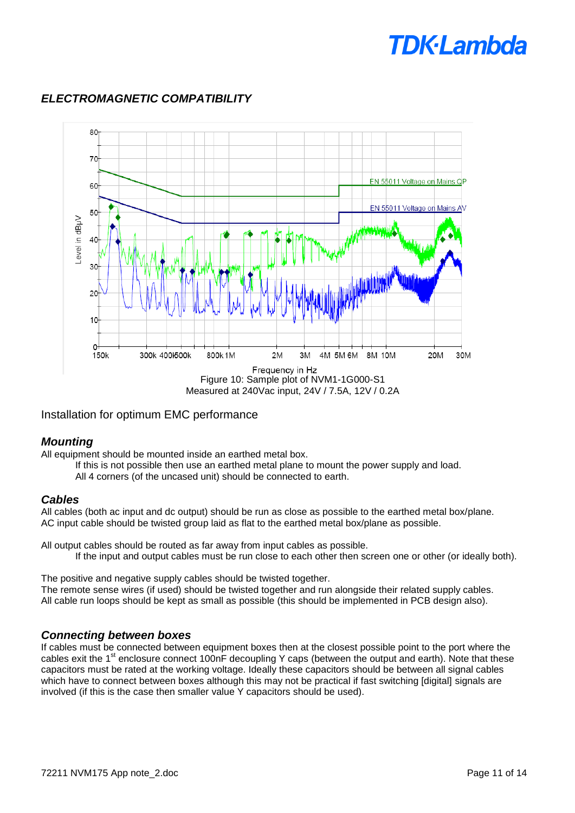

# *ELECTROMAGNETIC COMPATIBILITY*

Installation for optimum EMC performance

## *Mounting*

All equipment should be mounted inside an earthed metal box.

- If this is not possible then use an earthed metal plane to mount the power supply and load.
- All 4 corners (of the uncased unit) should be connected to earth.

### *Cables*

All cables (both ac input and dc output) should be run as close as possible to the earthed metal box/plane. AC input cable should be twisted group laid as flat to the earthed metal box/plane as possible.

All output cables should be routed as far away from input cables as possible. If the input and output cables must be run close to each other then screen one or other (or ideally both).

The positive and negative supply cables should be twisted together. The remote sense wires (if used) should be twisted together and run alongside their related supply cables. All cable run loops should be kept as small as possible (this should be implemented in PCB design also).

## *Connecting between boxes*

If cables must be connected between equipment boxes then at the closest possible point to the port where the cables exit the 1<sup>st</sup> enclosure connect 100nF decoupling Y caps (between the output and earth). Note that these capacitors must be rated at the working voltage. Ideally these capacitors should be between all signal cables which have to connect between boxes although this may not be practical if fast switching [digital] signals are involved (if this is the case then smaller value Y capacitors should be used).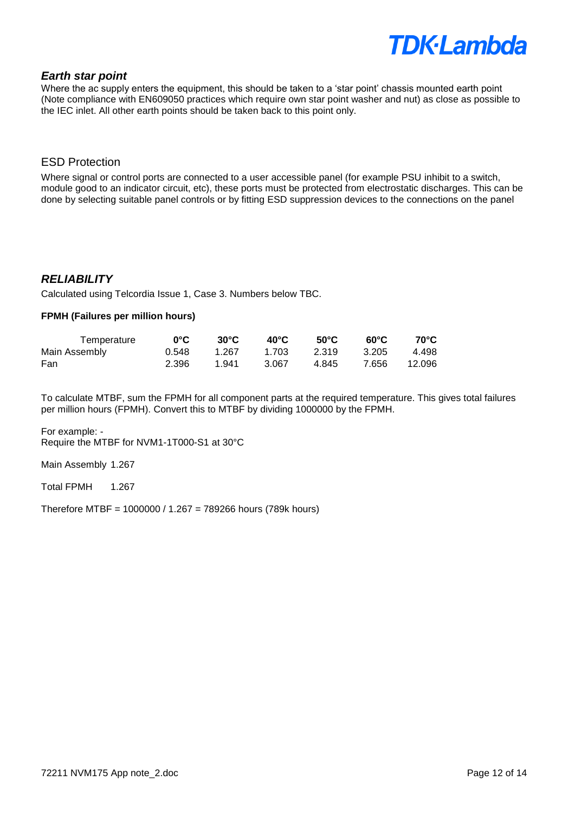#### *Earth star point*

Where the ac supply enters the equipment, this should be taken to a 'star point' chassis mounted earth point (Note compliance with EN609050 practices which require own star point washer and nut) as close as possible to the IEC inlet. All other earth points should be taken back to this point only.

#### ESD Protection

Where signal or control ports are connected to a user accessible panel (for example PSU inhibit to a switch, module good to an indicator circuit, etc), these ports must be protected from electrostatic discharges. This can be done by selecting suitable panel controls or by fitting ESD suppression devices to the connections on the panel

### *RELIABILITY*

Calculated using Telcordia Issue 1, Case 3. Numbers below TBC.

#### **FPMH (Failures per million hours)**

| Temperature   | $0^{\circ}$ C $^{-}$ | $30^{\circ}$ C | 40°C  | 50°C  | െ∈    | 70°C   |
|---------------|----------------------|----------------|-------|-------|-------|--------|
| Main Assembly | 0.548                | 1.267          | 1.703 | 2.319 | 3.205 | 4.498  |
| Fan           | 2.396                | 1.941          | 3.067 | 4.845 | 7.656 | 12.096 |

To calculate MTBF, sum the FPMH for all component parts at the required temperature. This gives total failures per million hours (FPMH). Convert this to MTBF by dividing 1000000 by the FPMH.

For example: - Require the MTBF for NVM1-1T000-S1 at 30°C

Main Assembly 1.267

Total FPMH 1.267

Therefore MTBF = 1000000 / 1.267 = 789266 hours (789k hours)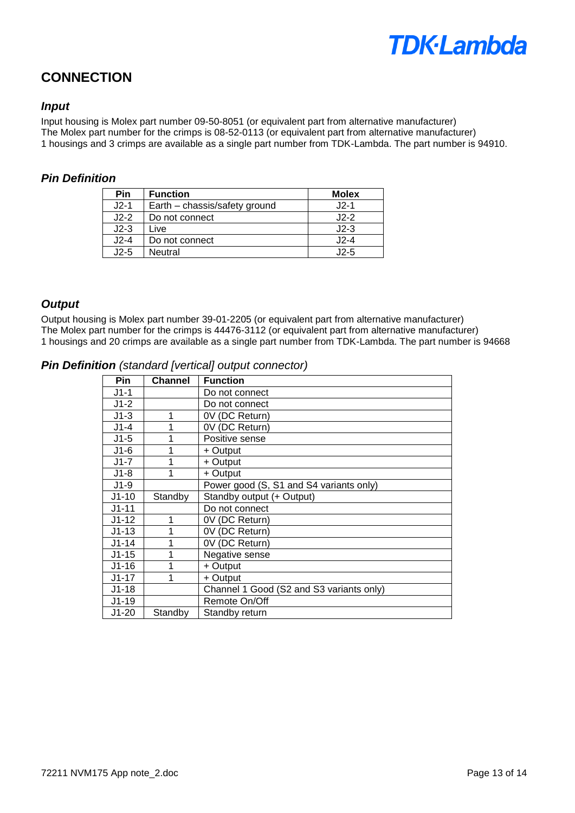

# **CONNECTION**

### *Input*

Input housing is Molex part number 09-50-8051 (or equivalent part from alternative manufacturer) The Molex part number for the crimps is 08-52-0113 (or equivalent part from alternative manufacturer) 1 housings and 3 crimps are available as a single part number from TDK-Lambda. The part number is 94910.

### *Pin Definition*

| <b>Pin</b> | <b>Function</b>               | <b>Molex</b> |
|------------|-------------------------------|--------------|
| $J2-1$     | Earth - chassis/safety ground | $J2-1$       |
| $J2-2$     | Do not connect                | $J2-2$       |
| $J2-3$     | Live                          | $J2-3$       |
| $J2-4$     | Do not connect                | $J2-4$       |
| $J2-5$     | Neutral                       | $J2-5$       |

## *Output*

Output housing is Molex part number 39-01-2205 (or equivalent part from alternative manufacturer) The Molex part number for the crimps is 44476-3112 (or equivalent part from alternative manufacturer) 1 housings and 20 crimps are available as a single part number from TDK-Lambda. The part number is 94668

*Pin Definition (standard [vertical] output connector)*

| Pin.      | <b>Channel</b> | <b>Function</b>                          |
|-----------|----------------|------------------------------------------|
| $J1-1$    |                | Do not connect                           |
| $J1-2$    |                | Do not connect                           |
| $J1-3$    | 1              | 0V (DC Return)                           |
| J1-4      | 1              | 0V (DC Return)                           |
| $J1-5$    | 1              | Positive sense                           |
| $J1-6$    | 1              | + Output                                 |
| J1-7      | 1              | + Output                                 |
| $J1-8$    | 1              | + Output                                 |
| $J1-9$    |                | Power good (S, S1 and S4 variants only)  |
| $J1-10$   | Standby        | Standby output (+ Output)                |
| $J1 - 11$ |                | Do not connect                           |
| $J1-12$   | 1              | 0V (DC Return)                           |
| $J1-13$   | 1              | 0V (DC Return)                           |
| $J1 - 14$ | 1              | 0V (DC Return)                           |
| $J1-15$   | 1              | Negative sense                           |
| $J1-16$   | 1              | + Output                                 |
| $J1-17$   | 1              | + Output                                 |
| $J1 - 18$ |                | Channel 1 Good (S2 and S3 variants only) |
| $J1-19$   |                | Remote On/Off                            |
| J1-20     | Standby        | Standby return                           |